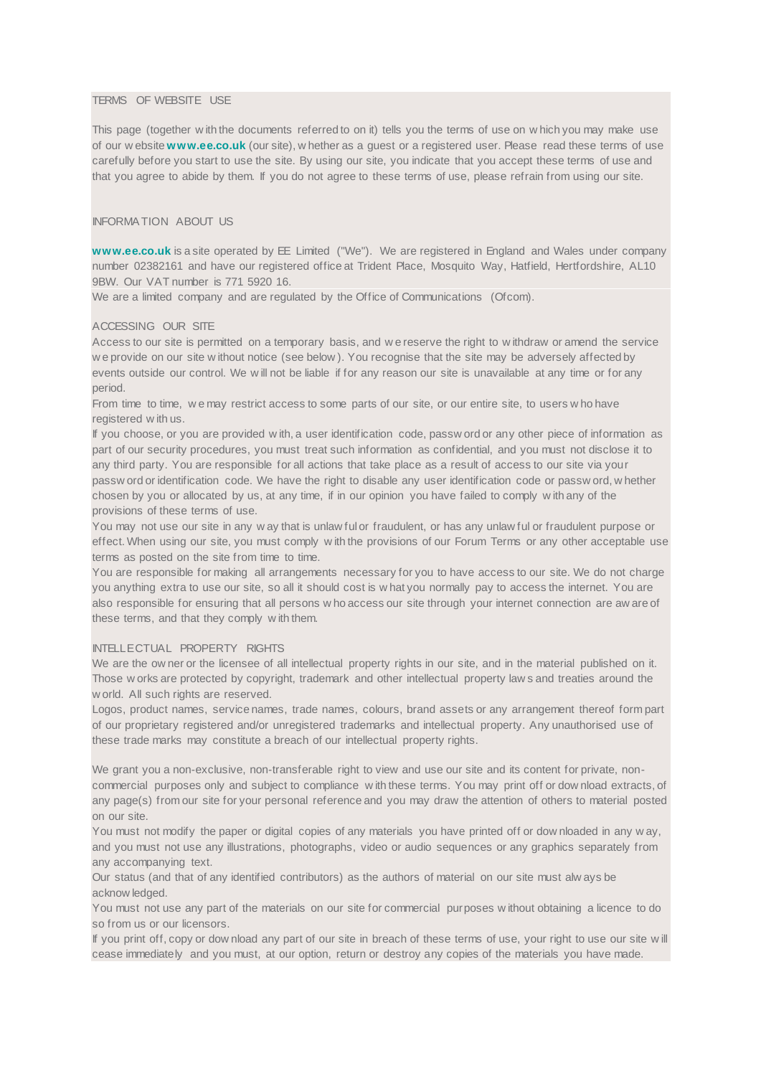### TERMS OF WEBSITE USE

This page (together w ith the documents referred to on it) tells you the terms of use on w hich you may make use of our w ebsite **[w w w.ee.co.uk](http://www.ee.co.uk/)** (our site), w hether as a guest or a registered user. Please read these terms of use carefully before you start to use the site. By using our site, you indicate that you accept these terms of use and that you agree to abide by them. If you do not agree to these terms of use, please refrain from using our site.

# INFORMA TION ABOUT US

**[w w w.ee.co.uk](http://www.ee.co.uk/)** is a site operated by EE Limited ("We"). We are registered in England and Wales under company number 02382161 and have our registered office at Trident Place, Mosquito Way, Hatfield, Hertfordshire, AL10 9BW. Our VAT number is 771 5920 16.

We are a limited company and are regulated by the Office of Communications (Ofcom).

### ACCESSING OUR SITE

Access to our site is permitted on a temporary basis, and w e reserve the right to w ithdraw or amend the service w e provide on our site w ithout notice (see below ). You recognise that the site may be adversely affected by events outside our control. We w ill not be liable if for any reason our site is unavailable at any time or for any period.

From time to time, w e may restrict access to some parts of our site, or our entire site, to users w ho have registered w ith us.

If you choose, or you are provided w ith, a user identification code, passw ord or any other piece of information as part of our security procedures, you must treat such information as confidential, and you must not disclose it to any third party. You are responsible for all actions that take place as a result of access to our site via your passw ord or identification code. We have the right to disable any user identification code or passw ord, w hether chosen by you or allocated by us, at any time, if in our opinion you have failed to comply w ith any of the provisions of these terms of use.

You may not use our site in any w ay that is unlaw ful or fraudulent, or has any unlaw ful or fraudulent purpose or effect. When using our site, you must comply w ith the provisions of our Forum Terms or any other acceptable use terms as posted on the site from time to time.

You are responsible for making all arrangements necessary for you to have access to our site. We do not charge you anything extra to use our site, so all it should cost is w hat you normally pay to access the internet. You are also responsible for ensuring that all persons w ho access our site through your internet connection are aw are of these terms, and that they comply w ith them.

#### INTELLECTUAL PROPERTY RIGHTS

We are the ow ner or the licensee of all intellectual property rights in our site, and in the material published on it. Those w orks are protected by copyright, trademark and other intellectual property law s and treaties around the w orld. All such rights are reserved.

Logos, product names, service names, trade names, colours, brand assets or any arrangement thereof form part of our proprietary registered and/or unregistered trademarks and intellectual property. Any unauthorised use of these trade marks may constitute a breach of our intellectual property rights.

We grant you a non-exclusive, non-transferable right to view and use our site and its content for private, noncommercial purposes only and subject to compliance w ith these terms. You may print off or dow nload extracts, of any page(s) from our site for your personal reference and you may draw the attention of others to material posted on our site.

You must not modify the paper or digital copies of any materials you have printed off or dow nloaded in any w ay, and you must not use any illustrations, photographs, video or audio sequences or any graphics separately from any accompanying text.

Our status (and that of any identified contributors) as the authors of material on our site must alw ays be acknow ledged.

You must not use any part of the materials on our site for commercial purposes w ithout obtaining a licence to do so from us or our licensors.

If you print off, copy or dow nload any part of our site in breach of these terms of use, your right to use our site w ill cease immediately and you must, at our option, return or destroy any copies of the materials you have made.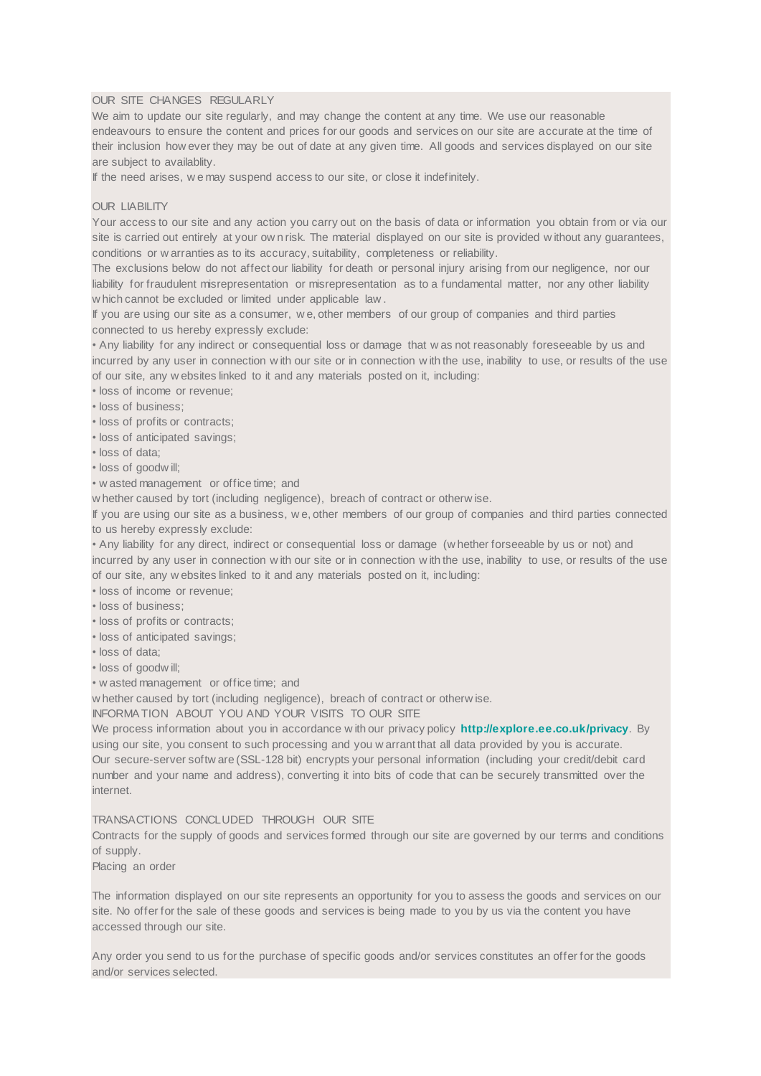## OUR SITE CHANGES REGULARLY

We aim to update our site regularly, and may change the content at any time. We use our reasonable endeavours to ensure the content and prices for our goods and services on our site are accurate at the time of their inclusion how ever they may be out of date at any given time. All goods and services displayed on our site are subject to availablity.

If the need arises, w e may suspend access to our site, or close it indefinitely.

### OUR LIABILITY

Your access to our site and any action you carry out on the basis of data or information you obtain from or via our site is carried out entirely at your ow n risk. The material displayed on our site is provided w ithout any guarantees, conditions or w arranties as to its accuracy, suitability, completeness or reliability.

The exclusions below do not affect our liability for death or personal injury arising from our negligence, nor our liability for fraudulent misrepresentation or misrepresentation as to a fundamental matter, nor any other liability w hich cannot be excluded or limited under applicable law .

If you are using our site as a consumer, w e, other members of our group of companies and third parties connected to us hereby expressly exclude:

• Any liability for any indirect or consequential loss or damage that w as not reasonably foreseeable by us and incurred by any user in connection w ith our site or in connection w ith the use, inability to use, or results of the use of our site, any w ebsites linked to it and any materials posted on it, including:

- loss of income or revenue;
- loss of business;
- loss of profits or contracts;
- loss of anticipated savings;
- loss of data;
- loss of goodw ill;
- w asted management or office time; and

w hether caused by tort (including negligence), breach of contract or otherw ise.

If you are using our site as a business, w e, other members of our group of companies and third parties connected to us hereby expressly exclude:

• Any liability for any direct, indirect or consequential loss or damage (w hether forseeable by us or not) and incurred by any user in connection w ith our site or in connection w ith the use, inability to use, or results of the use of our site, any w ebsites linked to it and any materials posted on it, including:

- loss of income or revenue;
- loss of business;
- loss of profits or contracts;
- loss of anticipated savings;
- loss of data;
- loss of goodw ill;
- w asted management or office time; and

w hether caused by tort (including negligence), breach of contract or otherw ise.

INFORMA TION ABOUT YOU AND YOUR VISITS TO OUR SITE

We process information about you in accordance w ith our privacy policy **<http://explore.ee.co.uk/privacy>**. By using our site, you consent to such processing and you w arrant that all data provided by you is accurate. Our secure-server softw are (SSL-128 bit) encrypts your personal information (including your credit/debit card number and your name and address), converting it into bits of code that can be securely transmitted over the internet.

## TRANSACTIONS CONCLUDED THROUGH OUR SITE

Contracts for the supply of goods and services formed through our site are governed by our terms and conditions of supply.

Placing an order

The information displayed on our site represents an opportunity for you to assess the goods and services on our site. No offer for the sale of these goods and services is being made to you by us via the content you have accessed through our site.

Any order you send to us for the purchase of specific goods and/or services constitutes an offer for the goods and/or services selected.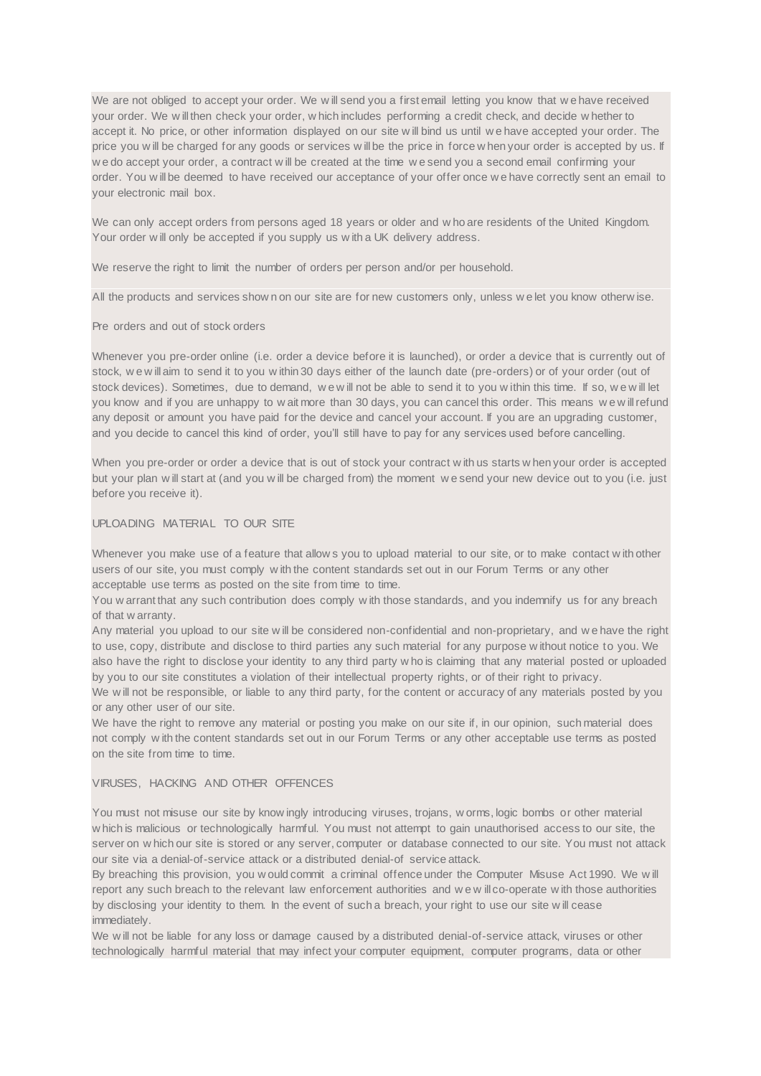We are not obliged to accept your order. We will send you a first email letting you know that we have received your order. We w ill then check your order, w hich includes performing a credit check, and decide w hether to accept it. No price, or other information displayed on our site w ill bind us until w e have accepted your order. The price you will be charged for any goods or services will be the price in force w hen your order is accepted by us. If w e do accept your order, a contract w ill be created at the time w e send you a second email confirming your order. You w ill be deemed to have received our acceptance of your offer once w e have correctly sent an email to your electronic mail box.

We can only accept orders from persons aged 18 years or older and w ho are residents of the United Kingdom. Your order w ill only be accepted if you supply us w ith a UK delivery address.

We reserve the right to limit the number of orders per person and/or per household.

All the products and services show n on our site are for new customers only, unless w e let you know otherw ise.

### Pre orders and out of stock orders

Whenever you pre-order online (i.e. order a device before it is launched), or order a device that is currently out of stock, w e w ill aim to send it to you w ithin 30 days either of the launch date (pre-orders) or of your order (out of stock devices). Sometimes, due to demand, we will not be able to send it to you w ithin this time. If so, we will let you know and if you are unhappy to w ait more than 30 days, you can cancel this order. This means w e w ill refund any deposit or amount you have paid for the device and cancel your account. If you are an upgrading customer, and you decide to cancel this kind of order, you'll still have to pay for any services used before cancelling.

When you pre-order or order a device that is out of stock your contract w ith us starts w hen your order is accepted but your plan w ill start at (and you w ill be charged from) the moment w e send your new device out to you (i.e. just before you receive it).

## UPLOADING MATERIAL TO OUR SITE

Whenever you make use of a feature that allow s you to upload material to our site, or to make contact with other users of our site, you must comply w ith the content standards set out in our Forum Terms or any other acceptable use terms as posted on the site from time to time.

You w arrant that any such contribution does comply w ith those standards, and you indemnify us for any breach of that w arranty.

Any material you upload to our site w ill be considered non-confidential and non-proprietary, and w e have the right to use, copy, distribute and disclose to third parties any such material for any purpose w ithout notice to you. We also have the right to disclose your identity to any third party w ho is claiming that any material posted or uploaded by you to our site constitutes a violation of their intellectual property rights, or of their right to privacy.

We will not be responsible, or liable to any third party, for the content or accuracy of any materials posted by you or any other user of our site.

We have the right to remove any material or posting you make on our site if, in our opinion, such material does not comply w ith the content standards set out in our Forum Terms or any other acceptable use terms as posted on the site from time to time.

### VIRUSES, HACKING AND OTHER OFFENCES

You must not misuse our site by know ingly introducing viruses, trojans, w orms, logic bombs or other material w hich is malicious or technologically harmful. You must not attempt to gain unauthorised access to our site, the server on w hich our site is stored or any server, computer or database connected to our site. You must not attack our site via a denial-of-service attack or a distributed denial-of service attack.

By breaching this provision, you w ould commit a criminal offence under the Computer Misuse Act 1990. We w ill report any such breach to the relevant law enforcement authorities and w e w ill co-operate w ith those authorities by disclosing your identity to them. In the event of such a breach, your right to use our site w ill cease immediately.

We will not be liable for any loss or damage caused by a distributed denial-of-service attack, viruses or other technologically harmful material that may infect your computer equipment, computer programs, data or other